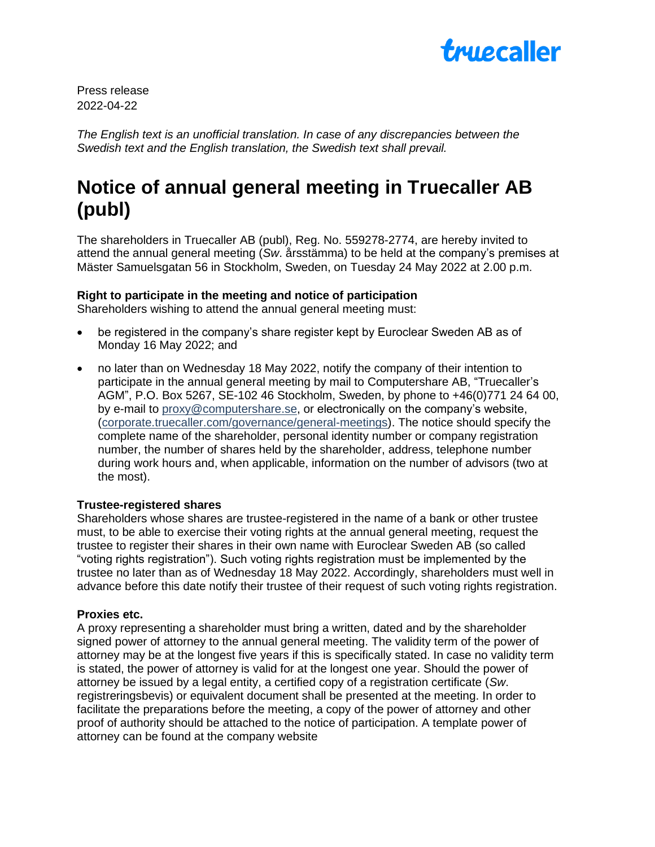

Press release 2022-04-22

*The English text is an unofficial translation. In case of any discrepancies between the Swedish text and the English translation, the Swedish text shall prevail.*

# **Notice of annual general meeting in Truecaller AB (publ)**

The shareholders in Truecaller AB (publ), Reg. No. 559278-2774, are hereby invited to attend the annual general meeting (*Sw*. årsstämma) to be held at the company's premises at Mäster Samuelsgatan 56 in Stockholm, Sweden, on Tuesday 24 May 2022 at 2.00 p.m.

## **Right to participate in the meeting and notice of participation**

Shareholders wishing to attend the annual general meeting must:

- be registered in the company's share register kept by Euroclear Sweden AB as of Monday 16 May 2022; and
- no later than on Wednesday 18 May 2022, notify the company of their intention to participate in the annual general meeting by mail to Computershare AB, "Truecaller's AGM", P.O. Box 5267, SE-102 46 Stockholm, Sweden, by phone to +46(0)771 24 64 00, by e-mail to [proxy@computershare.se,](mailto:proxy@computershare.se) or electronically on the company's website, [\(corporate.truecaller.com/governance/general-meetings\)](https://corporate.truecaller.com/governance/general-meetings). The notice should specify the complete name of the shareholder, personal identity number or company registration number, the number of shares held by the shareholder, address, telephone number during work hours and, when applicable, information on the number of advisors (two at the most).

#### **Trustee-registered shares**

Shareholders whose shares are trustee-registered in the name of a bank or other trustee must, to be able to exercise their voting rights at the annual general meeting, request the trustee to register their shares in their own name with Euroclear Sweden AB (so called "voting rights registration"). Such voting rights registration must be implemented by the trustee no later than as of Wednesday 18 May 2022. Accordingly, shareholders must well in advance before this date notify their trustee of their request of such voting rights registration.

#### **Proxies etc.**

A proxy representing a shareholder must bring a written, dated and by the shareholder signed power of attorney to the annual general meeting. The validity term of the power of attorney may be at the longest five years if this is specifically stated. In case no validity term is stated, the power of attorney is valid for at the longest one year. Should the power of attorney be issued by a legal entity, a certified copy of a registration certificate (*Sw*. registreringsbevis) or equivalent document shall be presented at the meeting. In order to facilitate the preparations before the meeting, a copy of the power of attorney and other proof of authority should be attached to the notice of participation. A template power of attorney can be found at the company website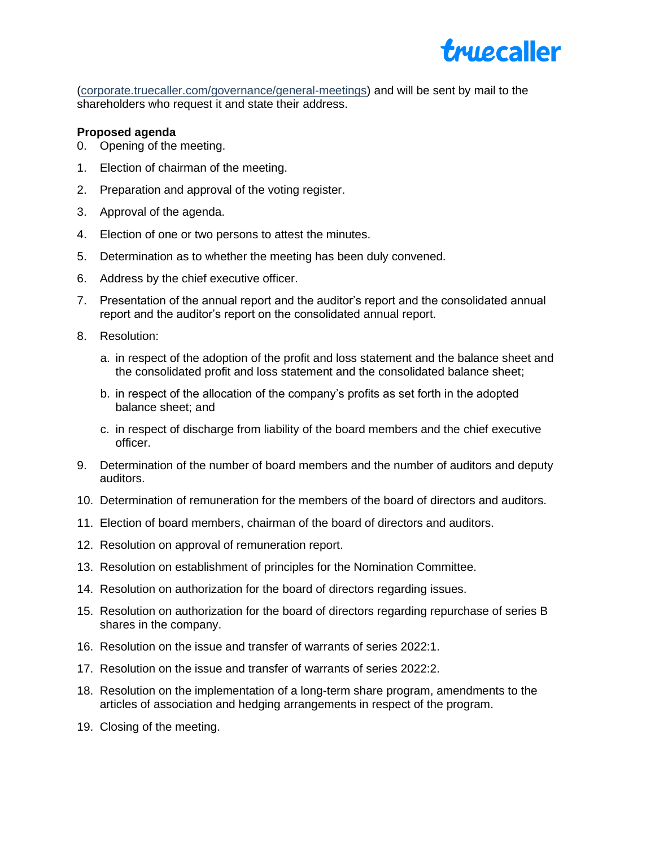

[\(corporate.truecaller.com/governance/general-meetings\)](https://corporate.truecaller.com/governance/general-meetings) and will be sent by mail to the shareholders who request it and state their address.

## **Proposed agenda**

- 0. Opening of the meeting.
- 1. Election of chairman of the meeting.
- 2. Preparation and approval of the voting register.
- 3. Approval of the agenda.
- 4. Election of one or two persons to attest the minutes.
- 5. Determination as to whether the meeting has been duly convened.
- 6. Address by the chief executive officer.
- 7. Presentation of the annual report and the auditor's report and the consolidated annual report and the auditor's report on the consolidated annual report.
- 8. Resolution:
	- a. in respect of the adoption of the profit and loss statement and the balance sheet and the consolidated profit and loss statement and the consolidated balance sheet;
	- b. in respect of the allocation of the company's profits as set forth in the adopted balance sheet; and
	- c. in respect of discharge from liability of the board members and the chief executive officer.
- 9. Determination of the number of board members and the number of auditors and deputy auditors.
- 10. Determination of remuneration for the members of the board of directors and auditors.
- 11. Election of board members, chairman of the board of directors and auditors.
- 12. Resolution on approval of remuneration report.
- 13. Resolution on establishment of principles for the Nomination Committee.
- 14. Resolution on authorization for the board of directors regarding issues.
- 15. Resolution on authorization for the board of directors regarding repurchase of series B shares in the company.
- 16. Resolution on the issue and transfer of warrants of series 2022:1.
- 17. Resolution on the issue and transfer of warrants of series 2022:2.
- 18. Resolution on the implementation of a long-term share program, amendments to the articles of association and hedging arrangements in respect of the program.
- 19. Closing of the meeting.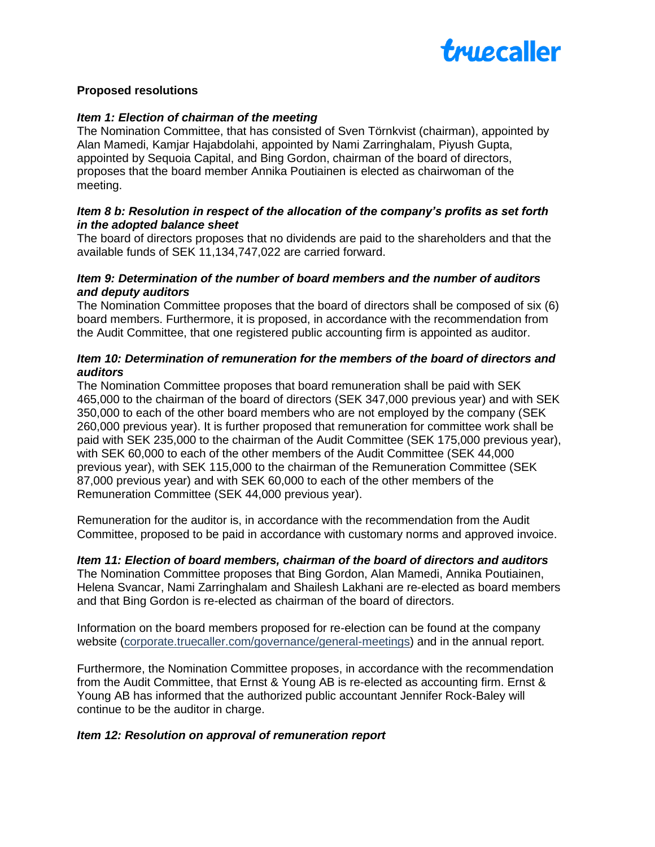

## **Proposed resolutions**

### *Item 1: Election of chairman of the meeting*

The Nomination Committee, that has consisted of Sven Törnkvist (chairman), appointed by Alan Mamedi, Kamjar Hajabdolahi, appointed by Nami Zarringhalam, Piyush Gupta, appointed by Sequoia Capital, and Bing Gordon, chairman of the board of directors, proposes that the board member Annika Poutiainen is elected as chairwoman of the meeting.

### *Item 8 b: Resolution in respect of the allocation of the company's profits as set forth in the adopted balance sheet*

The board of directors proposes that no dividends are paid to the shareholders and that the available funds of SEK 11,134,747,022 are carried forward.

## *Item 9: Determination of the number of board members and the number of auditors and deputy auditors*

The Nomination Committee proposes that the board of directors shall be composed of six (6) board members. Furthermore, it is proposed, in accordance with the recommendation from the Audit Committee, that one registered public accounting firm is appointed as auditor.

## *Item 10: Determination of remuneration for the members of the board of directors and auditors*

The Nomination Committee proposes that board remuneration shall be paid with SEK 465,000 to the chairman of the board of directors (SEK 347,000 previous year) and with SEK 350,000 to each of the other board members who are not employed by the company (SEK 260,000 previous year). It is further proposed that remuneration for committee work shall be paid with SEK 235,000 to the chairman of the Audit Committee (SEK 175,000 previous year), with SEK 60,000 to each of the other members of the Audit Committee (SEK 44,000 previous year), with SEK 115,000 to the chairman of the Remuneration Committee (SEK 87,000 previous year) and with SEK 60,000 to each of the other members of the Remuneration Committee (SEK 44,000 previous year).

Remuneration for the auditor is, in accordance with the recommendation from the Audit Committee, proposed to be paid in accordance with customary norms and approved invoice.

## *Item 11: Election of board members, chairman of the board of directors and auditors*

The Nomination Committee proposes that Bing Gordon, Alan Mamedi, Annika Poutiainen, Helena Svancar, Nami Zarringhalam and Shailesh Lakhani are re-elected as board members and that Bing Gordon is re-elected as chairman of the board of directors.

Information on the board members proposed for re-election can be found at the company website [\(corporate.truecaller.com/governance/general-meetings\)](https://corporate.truecaller.com/governance/general-meetings) and in the annual report.

Furthermore, the Nomination Committee proposes, in accordance with the recommendation from the Audit Committee, that Ernst & Young AB is re-elected as accounting firm. Ernst & Young AB has informed that the authorized public accountant Jennifer Rock-Baley will continue to be the auditor in charge.

#### *Item 12: Resolution on approval of remuneration report*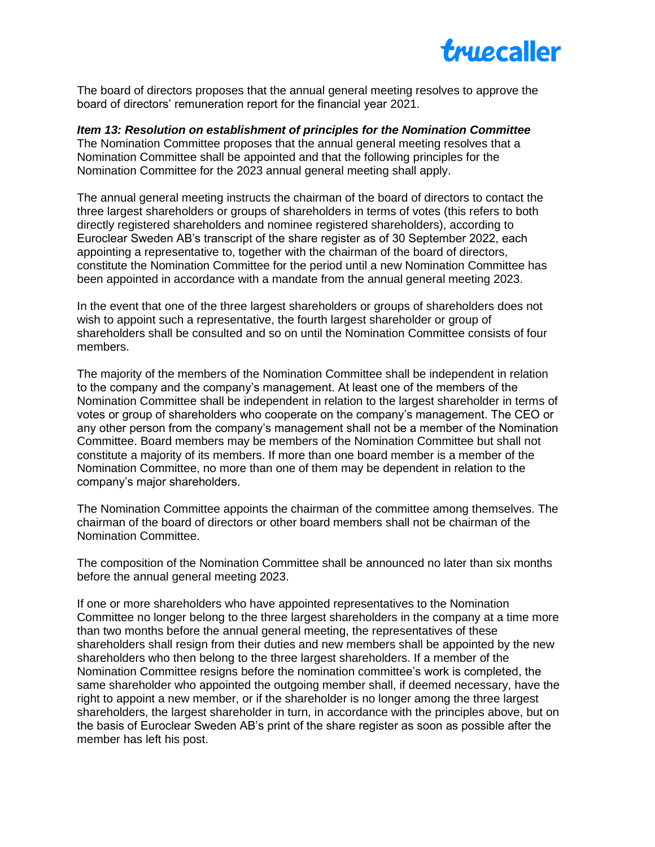

The board of directors proposes that the annual general meeting resolves to approve the board of directors' remuneration report for the financial year 2021.

*Item 13: Resolution on establishment of principles for the Nomination Committee* The Nomination Committee proposes that the annual general meeting resolves that a Nomination Committee shall be appointed and that the following principles for the Nomination Committee for the 2023 annual general meeting shall apply.

The annual general meeting instructs the chairman of the board of directors to contact the three largest shareholders or groups of shareholders in terms of votes (this refers to both directly registered shareholders and nominee registered shareholders), according to Euroclear Sweden AB's transcript of the share register as of 30 September 2022, each appointing a representative to, together with the chairman of the board of directors, constitute the Nomination Committee for the period until a new Nomination Committee has been appointed in accordance with a mandate from the annual general meeting 2023.

In the event that one of the three largest shareholders or groups of shareholders does not wish to appoint such a representative, the fourth largest shareholder or group of shareholders shall be consulted and so on until the Nomination Committee consists of four members.

The majority of the members of the Nomination Committee shall be independent in relation to the company and the company's management. At least one of the members of the Nomination Committee shall be independent in relation to the largest shareholder in terms of votes or group of shareholders who cooperate on the company's management. The CEO or any other person from the company's management shall not be a member of the Nomination Committee. Board members may be members of the Nomination Committee but shall not constitute a majority of its members. If more than one board member is a member of the Nomination Committee, no more than one of them may be dependent in relation to the company's major shareholders.

The Nomination Committee appoints the chairman of the committee among themselves. The chairman of the board of directors or other board members shall not be chairman of the Nomination Committee.

The composition of the Nomination Committee shall be announced no later than six months before the annual general meeting 2023.

If one or more shareholders who have appointed representatives to the Nomination Committee no longer belong to the three largest shareholders in the company at a time more than two months before the annual general meeting, the representatives of these shareholders shall resign from their duties and new members shall be appointed by the new shareholders who then belong to the three largest shareholders. If a member of the Nomination Committee resigns before the nomination committee's work is completed, the same shareholder who appointed the outgoing member shall, if deemed necessary, have the right to appoint a new member, or if the shareholder is no longer among the three largest shareholders, the largest shareholder in turn, in accordance with the principles above, but on the basis of Euroclear Sweden AB's print of the share register as soon as possible after the member has left his post.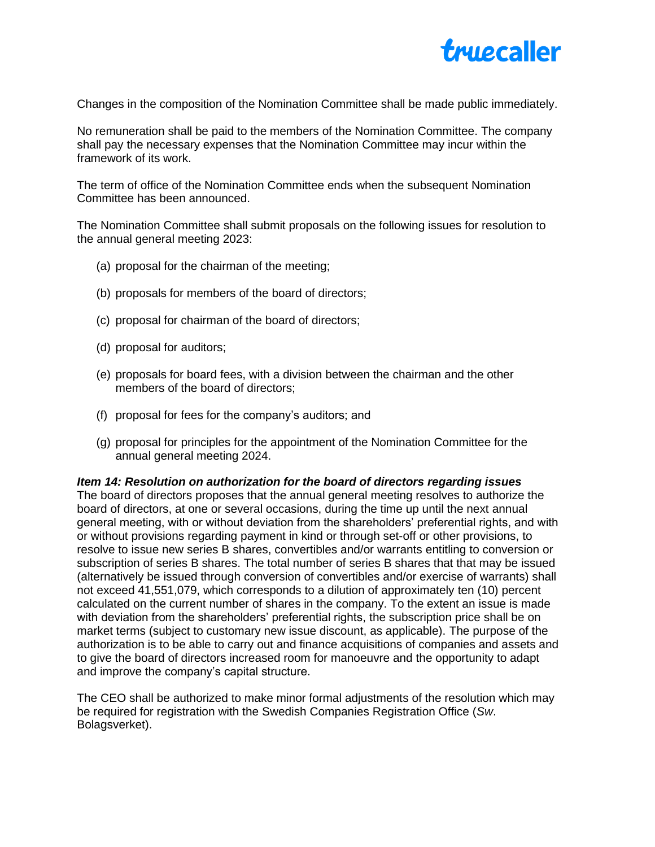

Changes in the composition of the Nomination Committee shall be made public immediately.

No remuneration shall be paid to the members of the Nomination Committee. The company shall pay the necessary expenses that the Nomination Committee may incur within the framework of its work.

The term of office of the Nomination Committee ends when the subsequent Nomination Committee has been announced.

The Nomination Committee shall submit proposals on the following issues for resolution to the annual general meeting 2023:

- (a) proposal for the chairman of the meeting;
- (b) proposals for members of the board of directors;
- (c) proposal for chairman of the board of directors;
- (d) proposal for auditors;
- (e) proposals for board fees, with a division between the chairman and the other members of the board of directors;
- (f) proposal for fees for the company's auditors; and
- (g) proposal for principles for the appointment of the Nomination Committee for the annual general meeting 2024.

#### *Item 14: Resolution on authorization for the board of directors regarding issues*

The board of directors proposes that the annual general meeting resolves to authorize the board of directors, at one or several occasions, during the time up until the next annual general meeting, with or without deviation from the shareholders' preferential rights, and with or without provisions regarding payment in kind or through set-off or other provisions, to resolve to issue new series B shares, convertibles and/or warrants entitling to conversion or subscription of series B shares. The total number of series B shares that that may be issued (alternatively be issued through conversion of convertibles and/or exercise of warrants) shall not exceed 41,551,079, which corresponds to a dilution of approximately ten (10) percent calculated on the current number of shares in the company. To the extent an issue is made with deviation from the shareholders' preferential rights, the subscription price shall be on market terms (subject to customary new issue discount, as applicable). The purpose of the authorization is to be able to carry out and finance acquisitions of companies and assets and to give the board of directors increased room for manoeuvre and the opportunity to adapt and improve the company's capital structure.

The CEO shall be authorized to make minor formal adjustments of the resolution which may be required for registration with the Swedish Companies Registration Office (*Sw*. Bolagsverket).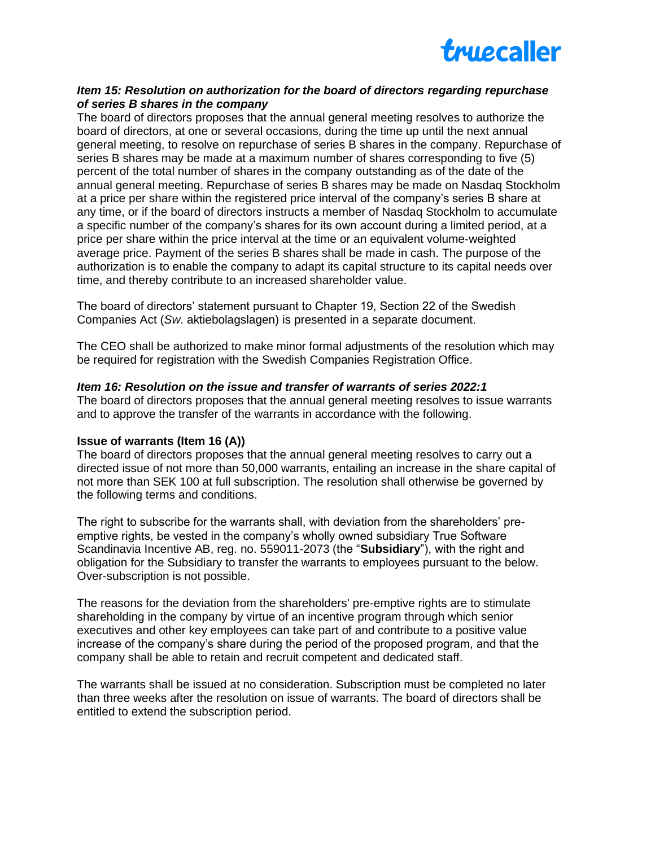

## *Item 15: Resolution on authorization for the board of directors regarding repurchase of series B shares in the company*

The board of directors proposes that the annual general meeting resolves to authorize the board of directors, at one or several occasions, during the time up until the next annual general meeting, to resolve on repurchase of series B shares in the company. Repurchase of series B shares may be made at a maximum number of shares corresponding to five (5) percent of the total number of shares in the company outstanding as of the date of the annual general meeting. Repurchase of series B shares may be made on Nasdaq Stockholm at a price per share within the registered price interval of the company's series B share at any time, or if the board of directors instructs a member of Nasdaq Stockholm to accumulate a specific number of the company's shares for its own account during a limited period, at a price per share within the price interval at the time or an equivalent volume‐weighted average price. Payment of the series B shares shall be made in cash. The purpose of the authorization is to enable the company to adapt its capital structure to its capital needs over time, and thereby contribute to an increased shareholder value.

The board of directors' statement pursuant to Chapter 19, Section 22 of the Swedish Companies Act (*Sw*. aktiebolagslagen) is presented in a separate document.

The CEO shall be authorized to make minor formal adjustments of the resolution which may be required for registration with the Swedish Companies Registration Office.

#### *Item 16: Resolution on the issue and transfer of warrants of series 2022:1*

The board of directors proposes that the annual general meeting resolves to issue warrants and to approve the transfer of the warrants in accordance with the following.

#### **Issue of warrants (Item 16 (A))**

The board of directors proposes that the annual general meeting resolves to carry out a directed issue of not more than 50,000 warrants, entailing an increase in the share capital of not more than SEK 100 at full subscription. The resolution shall otherwise be governed by the following terms and conditions.

The right to subscribe for the warrants shall, with deviation from the shareholders' preemptive rights, be vested in the company's wholly owned subsidiary True Software Scandinavia Incentive AB, reg. no. 559011-2073 (the "**Subsidiary**"), with the right and obligation for the Subsidiary to transfer the warrants to employees pursuant to the below. Over-subscription is not possible.

The reasons for the deviation from the shareholders' pre-emptive rights are to stimulate shareholding in the company by virtue of an incentive program through which senior executives and other key employees can take part of and contribute to a positive value increase of the company's share during the period of the proposed program, and that the company shall be able to retain and recruit competent and dedicated staff.

The warrants shall be issued at no consideration. Subscription must be completed no later than three weeks after the resolution on issue of warrants. The board of directors shall be entitled to extend the subscription period.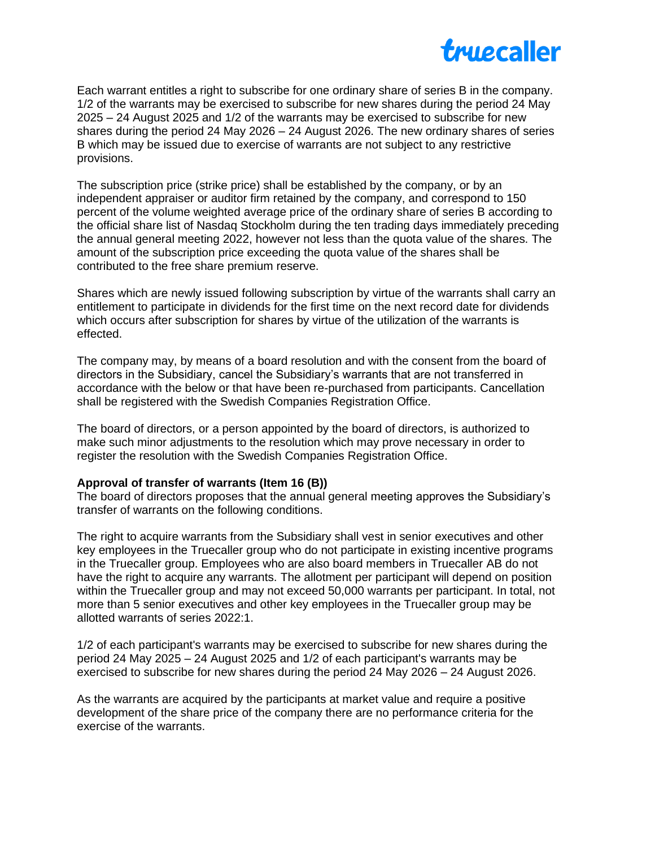

Each warrant entitles a right to subscribe for one ordinary share of series B in the company. 1/2 of the warrants may be exercised to subscribe for new shares during the period 24 May 2025 – 24 August 2025 and 1/2 of the warrants may be exercised to subscribe for new shares during the period 24 May 2026 – 24 August 2026. The new ordinary shares of series B which may be issued due to exercise of warrants are not subject to any restrictive provisions.

The subscription price (strike price) shall be established by the company, or by an independent appraiser or auditor firm retained by the company, and correspond to 150 percent of the volume weighted average price of the ordinary share of series B according to the official share list of Nasdaq Stockholm during the ten trading days immediately preceding the annual general meeting 2022, however not less than the quota value of the shares. The amount of the subscription price exceeding the quota value of the shares shall be contributed to the free share premium reserve.

Shares which are newly issued following subscription by virtue of the warrants shall carry an entitlement to participate in dividends for the first time on the next record date for dividends which occurs after subscription for shares by virtue of the utilization of the warrants is effected.

The company may, by means of a board resolution and with the consent from the board of directors in the Subsidiary, cancel the Subsidiary's warrants that are not transferred in accordance with the below or that have been re-purchased from participants. Cancellation shall be registered with the Swedish Companies Registration Office.

The board of directors, or a person appointed by the board of directors, is authorized to make such minor adjustments to the resolution which may prove necessary in order to register the resolution with the Swedish Companies Registration Office.

#### **Approval of transfer of warrants (Item 16 (B))**

The board of directors proposes that the annual general meeting approves the Subsidiary's transfer of warrants on the following conditions.

The right to acquire warrants from the Subsidiary shall vest in senior executives and other key employees in the Truecaller group who do not participate in existing incentive programs in the Truecaller group. Employees who are also board members in Truecaller AB do not have the right to acquire any warrants. The allotment per participant will depend on position within the Truecaller group and may not exceed 50,000 warrants per participant. In total, not more than 5 senior executives and other key employees in the Truecaller group may be allotted warrants of series 2022:1.

1/2 of each participant's warrants may be exercised to subscribe for new shares during the period 24 May 2025 – 24 August 2025 and 1/2 of each participant's warrants may be exercised to subscribe for new shares during the period 24 May 2026 – 24 August 2026.

As the warrants are acquired by the participants at market value and require a positive development of the share price of the company there are no performance criteria for the exercise of the warrants.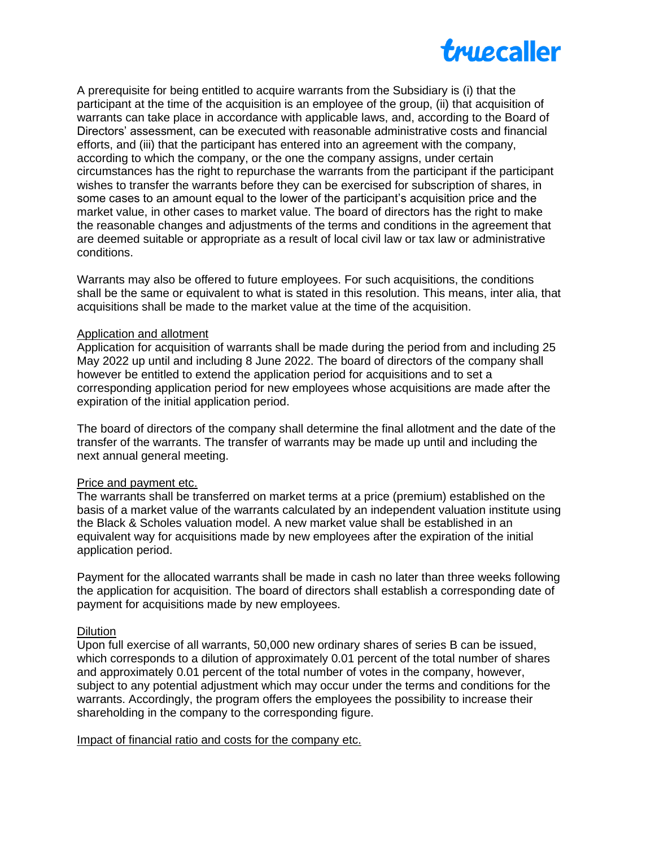

A prerequisite for being entitled to acquire warrants from the Subsidiary is (i) that the participant at the time of the acquisition is an employee of the group, (ii) that acquisition of warrants can take place in accordance with applicable laws, and, according to the Board of Directors' assessment, can be executed with reasonable administrative costs and financial efforts, and (iii) that the participant has entered into an agreement with the company, according to which the company, or the one the company assigns, under certain circumstances has the right to repurchase the warrants from the participant if the participant wishes to transfer the warrants before they can be exercised for subscription of shares, in some cases to an amount equal to the lower of the participant's acquisition price and the market value, in other cases to market value. The board of directors has the right to make the reasonable changes and adjustments of the terms and conditions in the agreement that are deemed suitable or appropriate as a result of local civil law or tax law or administrative conditions.

Warrants may also be offered to future employees. For such acquisitions, the conditions shall be the same or equivalent to what is stated in this resolution. This means, inter alia, that acquisitions shall be made to the market value at the time of the acquisition.

#### Application and allotment

Application for acquisition of warrants shall be made during the period from and including 25 May 2022 up until and including 8 June 2022. The board of directors of the company shall however be entitled to extend the application period for acquisitions and to set a corresponding application period for new employees whose acquisitions are made after the expiration of the initial application period.

The board of directors of the company shall determine the final allotment and the date of the transfer of the warrants. The transfer of warrants may be made up until and including the next annual general meeting.

#### Price and payment etc.

The warrants shall be transferred on market terms at a price (premium) established on the basis of a market value of the warrants calculated by an independent valuation institute using the Black & Scholes valuation model. A new market value shall be established in an equivalent way for acquisitions made by new employees after the expiration of the initial application period.

Payment for the allocated warrants shall be made in cash no later than three weeks following the application for acquisition. The board of directors shall establish a corresponding date of payment for acquisitions made by new employees.

#### **Dilution**

Upon full exercise of all warrants, 50,000 new ordinary shares of series B can be issued, which corresponds to a dilution of approximately 0.01 percent of the total number of shares and approximately 0.01 percent of the total number of votes in the company, however, subject to any potential adjustment which may occur under the terms and conditions for the warrants. Accordingly, the program offers the employees the possibility to increase their shareholding in the company to the corresponding figure.

#### Impact of financial ratio and costs for the company etc.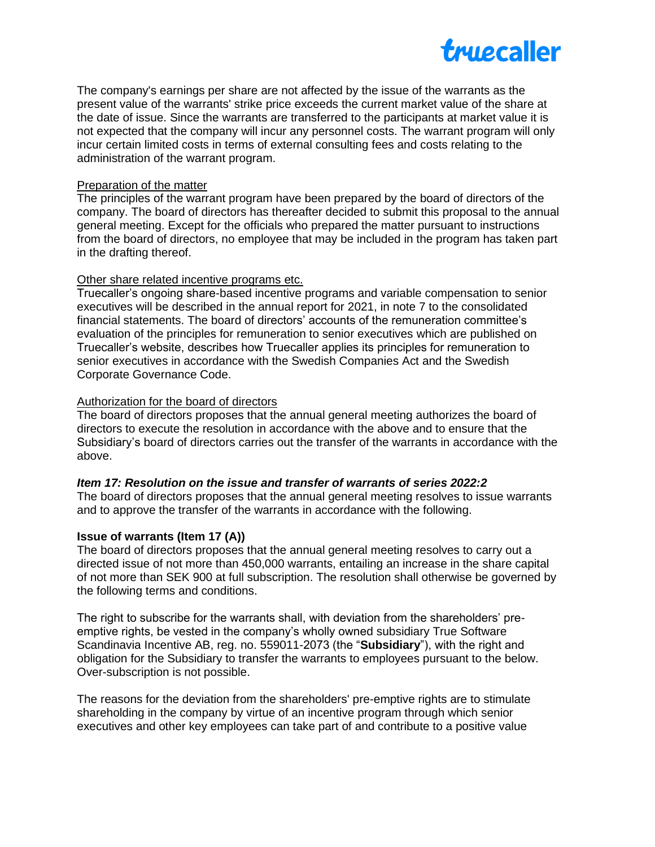

The company's earnings per share are not affected by the issue of the warrants as the present value of the warrants' strike price exceeds the current market value of the share at the date of issue. Since the warrants are transferred to the participants at market value it is not expected that the company will incur any personnel costs. The warrant program will only incur certain limited costs in terms of external consulting fees and costs relating to the administration of the warrant program.

#### Preparation of the matter

The principles of the warrant program have been prepared by the board of directors of the company. The board of directors has thereafter decided to submit this proposal to the annual general meeting. Except for the officials who prepared the matter pursuant to instructions from the board of directors, no employee that may be included in the program has taken part in the drafting thereof.

#### Other share related incentive programs etc.

Truecaller's ongoing share-based incentive programs and variable compensation to senior executives will be described in the annual report for 2021, in note 7 to the consolidated financial statements. The board of directors' accounts of the remuneration committee's evaluation of the principles for remuneration to senior executives which are published on Truecaller's website, describes how Truecaller applies its principles for remuneration to senior executives in accordance with the Swedish Companies Act and the Swedish Corporate Governance Code.

## Authorization for the board of directors

The board of directors proposes that the annual general meeting authorizes the board of directors to execute the resolution in accordance with the above and to ensure that the Subsidiary's board of directors carries out the transfer of the warrants in accordance with the above.

## *Item 17: Resolution on the issue and transfer of warrants of series 2022:2*

The board of directors proposes that the annual general meeting resolves to issue warrants and to approve the transfer of the warrants in accordance with the following.

## **Issue of warrants (Item 17 (A))**

The board of directors proposes that the annual general meeting resolves to carry out a directed issue of not more than 450,000 warrants, entailing an increase in the share capital of not more than SEK 900 at full subscription. The resolution shall otherwise be governed by the following terms and conditions.

The right to subscribe for the warrants shall, with deviation from the shareholders' preemptive rights, be vested in the company's wholly owned subsidiary True Software Scandinavia Incentive AB, reg. no. 559011-2073 (the "**Subsidiary**"), with the right and obligation for the Subsidiary to transfer the warrants to employees pursuant to the below. Over-subscription is not possible.

The reasons for the deviation from the shareholders' pre-emptive rights are to stimulate shareholding in the company by virtue of an incentive program through which senior executives and other key employees can take part of and contribute to a positive value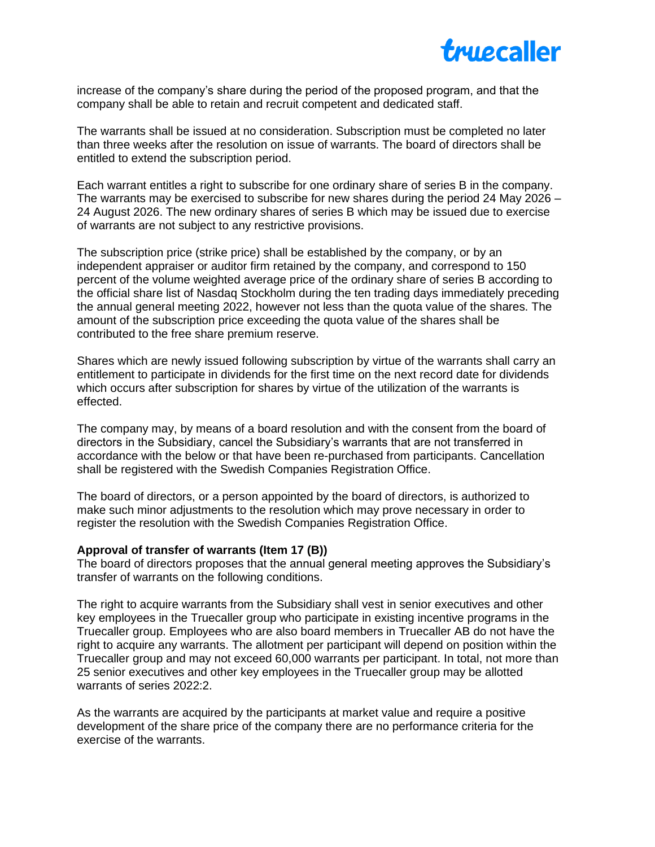

increase of the company's share during the period of the proposed program, and that the company shall be able to retain and recruit competent and dedicated staff.

The warrants shall be issued at no consideration. Subscription must be completed no later than three weeks after the resolution on issue of warrants. The board of directors shall be entitled to extend the subscription period.

Each warrant entitles a right to subscribe for one ordinary share of series B in the company. The warrants may be exercised to subscribe for new shares during the period 24 May 2026 – 24 August 2026. The new ordinary shares of series B which may be issued due to exercise of warrants are not subject to any restrictive provisions.

The subscription price (strike price) shall be established by the company, or by an independent appraiser or auditor firm retained by the company, and correspond to 150 percent of the volume weighted average price of the ordinary share of series B according to the official share list of Nasdaq Stockholm during the ten trading days immediately preceding the annual general meeting 2022, however not less than the quota value of the shares. The amount of the subscription price exceeding the quota value of the shares shall be contributed to the free share premium reserve.

Shares which are newly issued following subscription by virtue of the warrants shall carry an entitlement to participate in dividends for the first time on the next record date for dividends which occurs after subscription for shares by virtue of the utilization of the warrants is effected.

The company may, by means of a board resolution and with the consent from the board of directors in the Subsidiary, cancel the Subsidiary's warrants that are not transferred in accordance with the below or that have been re-purchased from participants. Cancellation shall be registered with the Swedish Companies Registration Office.

The board of directors, or a person appointed by the board of directors, is authorized to make such minor adjustments to the resolution which may prove necessary in order to register the resolution with the Swedish Companies Registration Office.

#### **Approval of transfer of warrants (Item 17 (B))**

The board of directors proposes that the annual general meeting approves the Subsidiary's transfer of warrants on the following conditions.

The right to acquire warrants from the Subsidiary shall vest in senior executives and other key employees in the Truecaller group who participate in existing incentive programs in the Truecaller group. Employees who are also board members in Truecaller AB do not have the right to acquire any warrants. The allotment per participant will depend on position within the Truecaller group and may not exceed 60,000 warrants per participant. In total, not more than 25 senior executives and other key employees in the Truecaller group may be allotted warrants of series 2022:2.

As the warrants are acquired by the participants at market value and require a positive development of the share price of the company there are no performance criteria for the exercise of the warrants.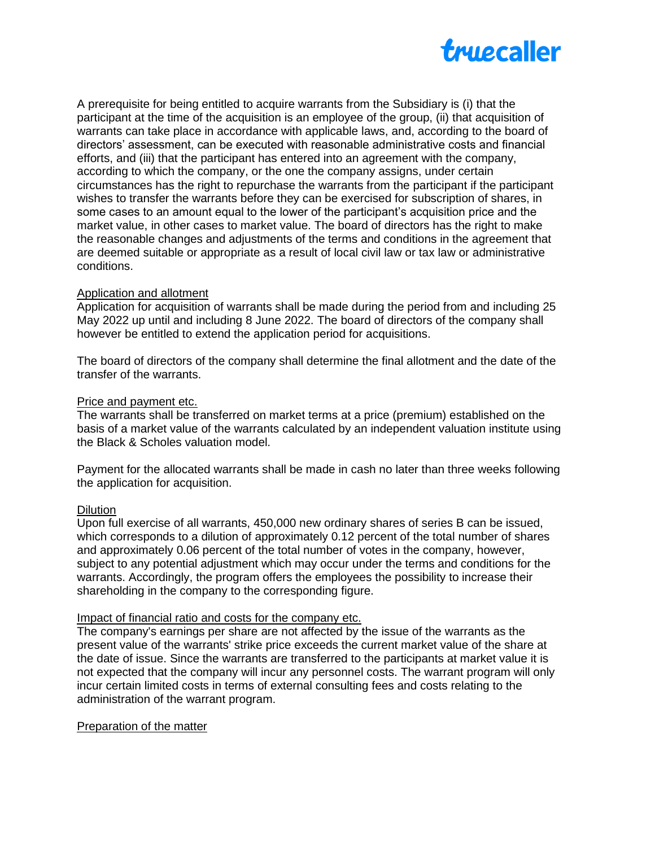

A prerequisite for being entitled to acquire warrants from the Subsidiary is (i) that the participant at the time of the acquisition is an employee of the group, (ii) that acquisition of warrants can take place in accordance with applicable laws, and, according to the board of directors' assessment, can be executed with reasonable administrative costs and financial efforts, and (iii) that the participant has entered into an agreement with the company, according to which the company, or the one the company assigns, under certain circumstances has the right to repurchase the warrants from the participant if the participant wishes to transfer the warrants before they can be exercised for subscription of shares, in some cases to an amount equal to the lower of the participant's acquisition price and the market value, in other cases to market value. The board of directors has the right to make the reasonable changes and adjustments of the terms and conditions in the agreement that are deemed suitable or appropriate as a result of local civil law or tax law or administrative conditions.

#### Application and allotment

Application for acquisition of warrants shall be made during the period from and including 25 May 2022 up until and including 8 June 2022. The board of directors of the company shall however be entitled to extend the application period for acquisitions.

The board of directors of the company shall determine the final allotment and the date of the transfer of the warrants.

#### Price and payment etc.

The warrants shall be transferred on market terms at a price (premium) established on the basis of a market value of the warrants calculated by an independent valuation institute using the Black & Scholes valuation model.

Payment for the allocated warrants shall be made in cash no later than three weeks following the application for acquisition.

#### Dilution

Upon full exercise of all warrants, 450,000 new ordinary shares of series B can be issued, which corresponds to a dilution of approximately 0.12 percent of the total number of shares and approximately 0.06 percent of the total number of votes in the company, however, subject to any potential adjustment which may occur under the terms and conditions for the warrants. Accordingly, the program offers the employees the possibility to increase their shareholding in the company to the corresponding figure.

#### Impact of financial ratio and costs for the company etc.

The company's earnings per share are not affected by the issue of the warrants as the present value of the warrants' strike price exceeds the current market value of the share at the date of issue. Since the warrants are transferred to the participants at market value it is not expected that the company will incur any personnel costs. The warrant program will only incur certain limited costs in terms of external consulting fees and costs relating to the administration of the warrant program.

#### Preparation of the matter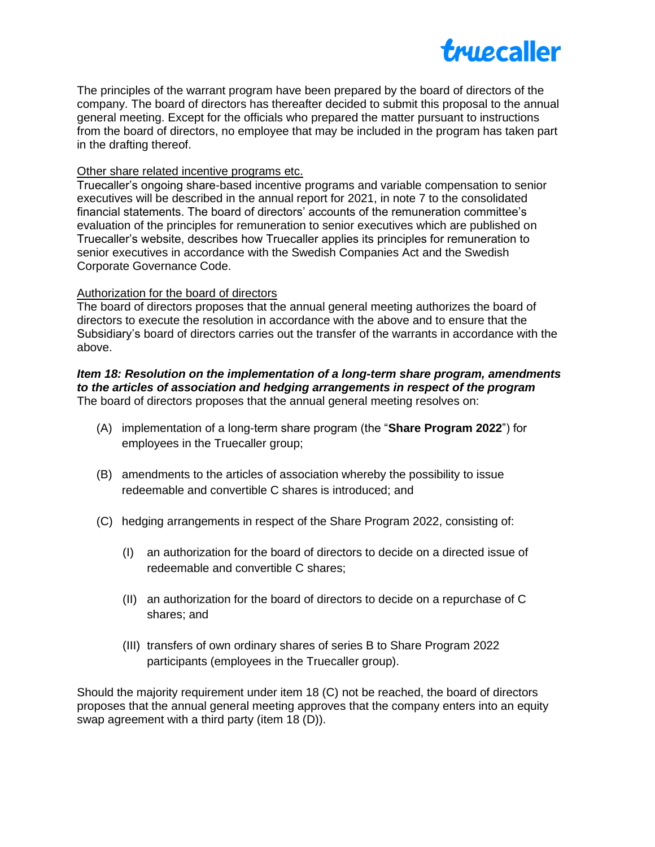

The principles of the warrant program have been prepared by the board of directors of the company. The board of directors has thereafter decided to submit this proposal to the annual general meeting. Except for the officials who prepared the matter pursuant to instructions from the board of directors, no employee that may be included in the program has taken part in the drafting thereof.

#### Other share related incentive programs etc.

Truecaller's ongoing share-based incentive programs and variable compensation to senior executives will be described in the annual report for 2021, in note 7 to the consolidated financial statements. The board of directors' accounts of the remuneration committee's evaluation of the principles for remuneration to senior executives which are published on Truecaller's website, describes how Truecaller applies its principles for remuneration to senior executives in accordance with the Swedish Companies Act and the Swedish Corporate Governance Code.

#### Authorization for the board of directors

The board of directors proposes that the annual general meeting authorizes the board of directors to execute the resolution in accordance with the above and to ensure that the Subsidiary's board of directors carries out the transfer of the warrants in accordance with the above.

#### *Item 18: Resolution on the implementation of a long-term share program, amendments to the articles of association and hedging arrangements in respect of the program* The board of directors proposes that the annual general meeting resolves on:

- (A) implementation of a long-term share program (the "**Share Program 2022**") for employees in the Truecaller group;
- (B) amendments to the articles of association whereby the possibility to issue redeemable and convertible C shares is introduced; and
- (C) hedging arrangements in respect of the Share Program 2022, consisting of:
	- (I) an authorization for the board of directors to decide on a directed issue of redeemable and convertible C shares;
	- (II) an authorization for the board of directors to decide on a repurchase of C shares; and
	- (III) transfers of own ordinary shares of series B to Share Program 2022 participants (employees in the Truecaller group).

Should the majority requirement under item 18 (C) not be reached, the board of directors proposes that the annual general meeting approves that the company enters into an equity swap agreement with a third party (item 18 (D)).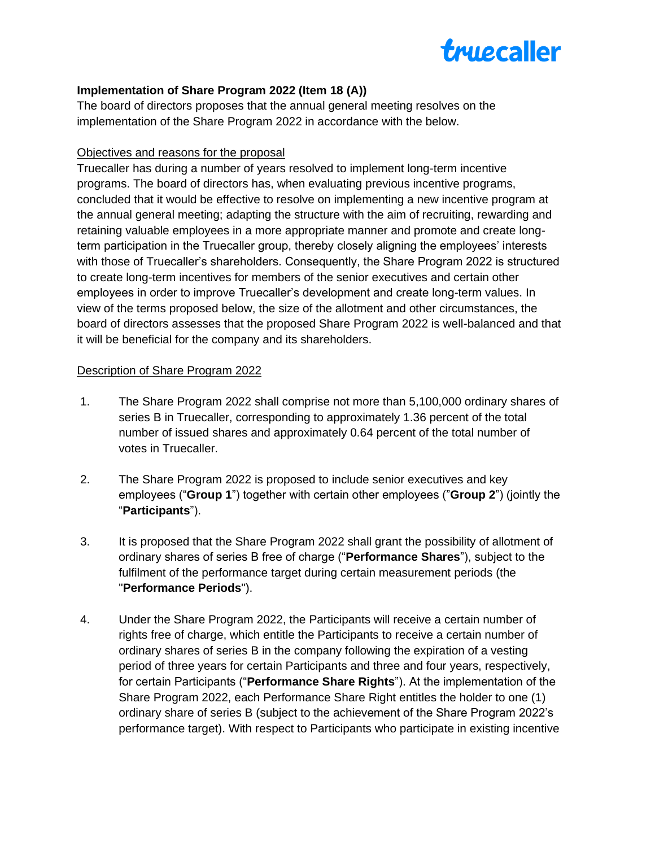

## **Implementation of Share Program 2022 (Item 18 (A))**

The board of directors proposes that the annual general meeting resolves on the implementation of the Share Program 2022 in accordance with the below.

## Objectives and reasons for the proposal

Truecaller has during a number of years resolved to implement long-term incentive programs. The board of directors has, when evaluating previous incentive programs, concluded that it would be effective to resolve on implementing a new incentive program at the annual general meeting; adapting the structure with the aim of recruiting, rewarding and retaining valuable employees in a more appropriate manner and promote and create longterm participation in the Truecaller group, thereby closely aligning the employees' interests with those of Truecaller's shareholders. Consequently, the Share Program 2022 is structured to create long-term incentives for members of the senior executives and certain other employees in order to improve Truecaller's development and create long-term values. In view of the terms proposed below, the size of the allotment and other circumstances, the board of directors assesses that the proposed Share Program 2022 is well-balanced and that it will be beneficial for the company and its shareholders.

## Description of Share Program 2022

- 1. The Share Program 2022 shall comprise not more than 5,100,000 ordinary shares of series B in Truecaller, corresponding to approximately 1.36 percent of the total number of issued shares and approximately 0.64 percent of the total number of votes in Truecaller.
- 2. The Share Program 2022 is proposed to include senior executives and key employees ("**Group 1**") together with certain other employees ("**Group 2**") (jointly the "**Participants**").
- 3. It is proposed that the Share Program 2022 shall grant the possibility of allotment of ordinary shares of series B free of charge ("**Performance Shares**"), subject to the fulfilment of the performance target during certain measurement periods (the "**Performance Periods**").
- 4. Under the Share Program 2022, the Participants will receive a certain number of rights free of charge, which entitle the Participants to receive a certain number of ordinary shares of series B in the company following the expiration of a vesting period of three years for certain Participants and three and four years, respectively, for certain Participants ("**Performance Share Rights**"). At the implementation of the Share Program 2022, each Performance Share Right entitles the holder to one (1) ordinary share of series B (subject to the achievement of the Share Program 2022's performance target). With respect to Participants who participate in existing incentive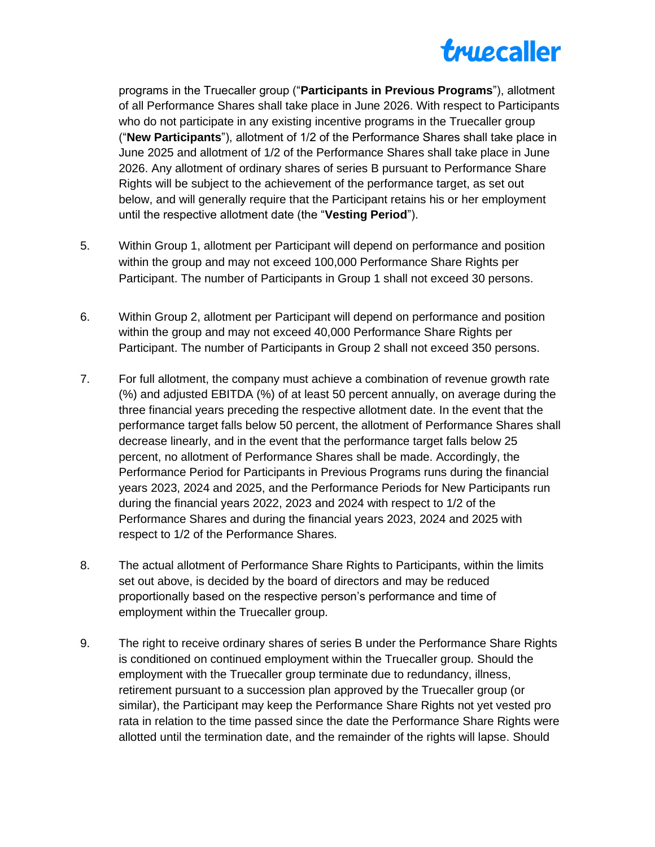

programs in the Truecaller group ("**Participants in Previous Programs**"), allotment of all Performance Shares shall take place in June 2026. With respect to Participants who do not participate in any existing incentive programs in the Truecaller group ("**New Participants**"), allotment of 1/2 of the Performance Shares shall take place in June 2025 and allotment of 1/2 of the Performance Shares shall take place in June 2026. Any allotment of ordinary shares of series B pursuant to Performance Share Rights will be subject to the achievement of the performance target, as set out below, and will generally require that the Participant retains his or her employment until the respective allotment date (the "**Vesting Period**").

- 5. Within Group 1, allotment per Participant will depend on performance and position within the group and may not exceed 100,000 Performance Share Rights per Participant. The number of Participants in Group 1 shall not exceed 30 persons.
- 6. Within Group 2, allotment per Participant will depend on performance and position within the group and may not exceed 40,000 Performance Share Rights per Participant. The number of Participants in Group 2 shall not exceed 350 persons.
- 7. For full allotment, the company must achieve a combination of revenue growth rate (%) and adjusted EBITDA (%) of at least 50 percent annually, on average during the three financial years preceding the respective allotment date. In the event that the performance target falls below 50 percent, the allotment of Performance Shares shall decrease linearly, and in the event that the performance target falls below 25 percent, no allotment of Performance Shares shall be made. Accordingly, the Performance Period for Participants in Previous Programs runs during the financial years 2023, 2024 and 2025, and the Performance Periods for New Participants run during the financial years 2022, 2023 and 2024 with respect to 1/2 of the Performance Shares and during the financial years 2023, 2024 and 2025 with respect to 1/2 of the Performance Shares.
- 8. The actual allotment of Performance Share Rights to Participants, within the limits set out above, is decided by the board of directors and may be reduced proportionally based on the respective person's performance and time of employment within the Truecaller group.
- 9. The right to receive ordinary shares of series B under the Performance Share Rights is conditioned on continued employment within the Truecaller group. Should the employment with the Truecaller group terminate due to redundancy, illness, retirement pursuant to a succession plan approved by the Truecaller group (or similar), the Participant may keep the Performance Share Rights not yet vested pro rata in relation to the time passed since the date the Performance Share Rights were allotted until the termination date, and the remainder of the rights will lapse. Should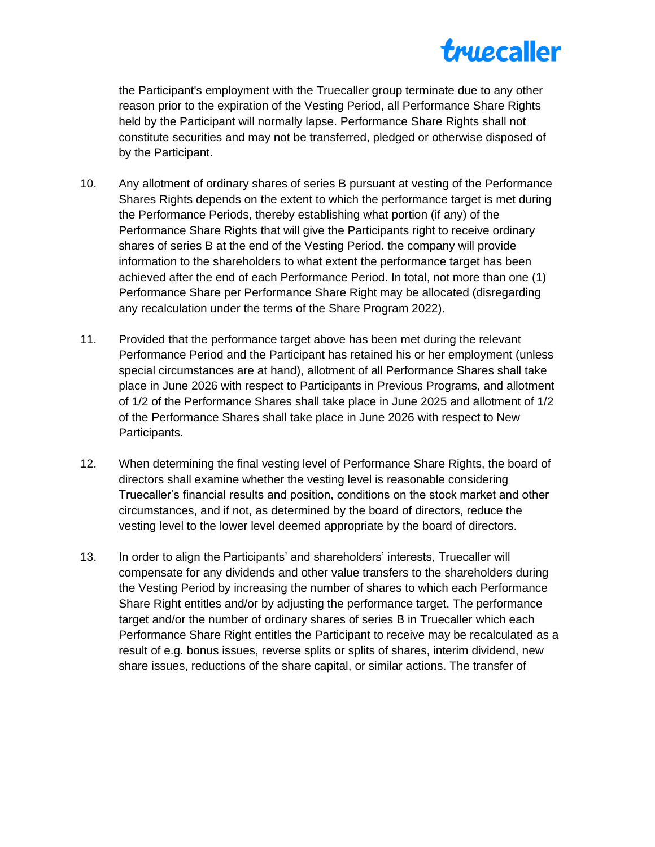

the Participant's employment with the Truecaller group terminate due to any other reason prior to the expiration of the Vesting Period, all Performance Share Rights held by the Participant will normally lapse. Performance Share Rights shall not constitute securities and may not be transferred, pledged or otherwise disposed of by the Participant.

- 10. Any allotment of ordinary shares of series B pursuant at vesting of the Performance Shares Rights depends on the extent to which the performance target is met during the Performance Periods, thereby establishing what portion (if any) of the Performance Share Rights that will give the Participants right to receive ordinary shares of series B at the end of the Vesting Period. the company will provide information to the shareholders to what extent the performance target has been achieved after the end of each Performance Period. In total, not more than one (1) Performance Share per Performance Share Right may be allocated (disregarding any recalculation under the terms of the Share Program 2022).
- 11. Provided that the performance target above has been met during the relevant Performance Period and the Participant has retained his or her employment (unless special circumstances are at hand), allotment of all Performance Shares shall take place in June 2026 with respect to Participants in Previous Programs, and allotment of 1/2 of the Performance Shares shall take place in June 2025 and allotment of 1/2 of the Performance Shares shall take place in June 2026 with respect to New Participants.
- 12. When determining the final vesting level of Performance Share Rights, the board of directors shall examine whether the vesting level is reasonable considering Truecaller's financial results and position, conditions on the stock market and other circumstances, and if not, as determined by the board of directors, reduce the vesting level to the lower level deemed appropriate by the board of directors.
- 13. In order to align the Participants' and shareholders' interests, Truecaller will compensate for any dividends and other value transfers to the shareholders during the Vesting Period by increasing the number of shares to which each Performance Share Right entitles and/or by adjusting the performance target. The performance target and/or the number of ordinary shares of series B in Truecaller which each Performance Share Right entitles the Participant to receive may be recalculated as a result of e.g. bonus issues, reverse splits or splits of shares, interim dividend, new share issues, reductions of the share capital, or similar actions. The transfer of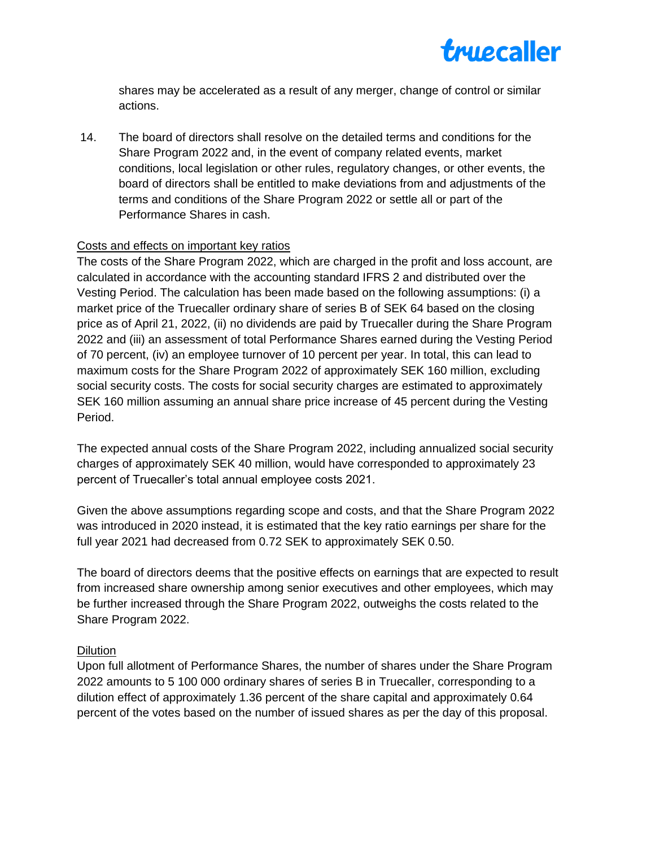

shares may be accelerated as a result of any merger, change of control or similar actions.

14. The board of directors shall resolve on the detailed terms and conditions for the Share Program 2022 and, in the event of company related events, market conditions, local legislation or other rules, regulatory changes, or other events, the board of directors shall be entitled to make deviations from and adjustments of the terms and conditions of the Share Program 2022 or settle all or part of the Performance Shares in cash.

## Costs and effects on important key ratios

The costs of the Share Program 2022, which are charged in the profit and loss account, are calculated in accordance with the accounting standard IFRS 2 and distributed over the Vesting Period. The calculation has been made based on the following assumptions: (i) a market price of the Truecaller ordinary share of series B of SEK 64 based on the closing price as of April 21, 2022, (ii) no dividends are paid by Truecaller during the Share Program 2022 and (iii) an assessment of total Performance Shares earned during the Vesting Period of 70 percent, (iv) an employee turnover of 10 percent per year. In total, this can lead to maximum costs for the Share Program 2022 of approximately SEK 160 million, excluding social security costs. The costs for social security charges are estimated to approximately SEK 160 million assuming an annual share price increase of 45 percent during the Vesting Period.

The expected annual costs of the Share Program 2022, including annualized social security charges of approximately SEK 40 million, would have corresponded to approximately 23 percent of Truecaller's total annual employee costs 2021.

Given the above assumptions regarding scope and costs, and that the Share Program 2022 was introduced in 2020 instead, it is estimated that the key ratio earnings per share for the full year 2021 had decreased from 0.72 SEK to approximately SEK 0.50.

The board of directors deems that the positive effects on earnings that are expected to result from increased share ownership among senior executives and other employees, which may be further increased through the Share Program 2022, outweighs the costs related to the Share Program 2022.

#### Dilution

Upon full allotment of Performance Shares, the number of shares under the Share Program 2022 amounts to 5 100 000 ordinary shares of series B in Truecaller, corresponding to a dilution effect of approximately 1.36 percent of the share capital and approximately 0.64 percent of the votes based on the number of issued shares as per the day of this proposal.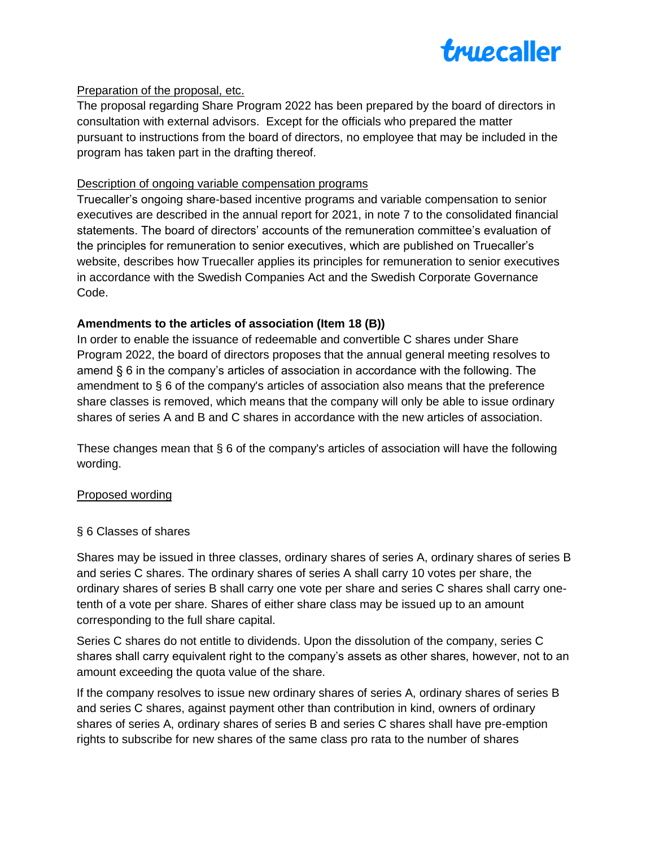

## Preparation of the proposal, etc.

The proposal regarding Share Program 2022 has been prepared by the board of directors in consultation with external advisors. Except for the officials who prepared the matter pursuant to instructions from the board of directors, no employee that may be included in the program has taken part in the drafting thereof.

## Description of ongoing variable compensation programs

Truecaller's ongoing share-based incentive programs and variable compensation to senior executives are described in the annual report for 2021, in note 7 to the consolidated financial statements. The board of directors' accounts of the remuneration committee's evaluation of the principles for remuneration to senior executives, which are published on Truecaller's website, describes how Truecaller applies its principles for remuneration to senior executives in accordance with the Swedish Companies Act and the Swedish Corporate Governance Code.

## **Amendments to the articles of association (Item 18 (B))**

In order to enable the issuance of redeemable and convertible C shares under Share Program 2022, the board of directors proposes that the annual general meeting resolves to amend § 6 in the company's articles of association in accordance with the following. The amendment to § 6 of the company's articles of association also means that the preference share classes is removed, which means that the company will only be able to issue ordinary shares of series A and B and C shares in accordance with the new articles of association.

These changes mean that § 6 of the company's articles of association will have the following wording.

## Proposed wording

## § 6 Classes of shares

Shares may be issued in three classes, ordinary shares of series A, ordinary shares of series B and series C shares. The ordinary shares of series A shall carry 10 votes per share, the ordinary shares of series B shall carry one vote per share and series C shares shall carry onetenth of a vote per share. Shares of either share class may be issued up to an amount corresponding to the full share capital.

Series C shares do not entitle to dividends. Upon the dissolution of the company, series C shares shall carry equivalent right to the company's assets as other shares, however, not to an amount exceeding the quota value of the share.

If the company resolves to issue new ordinary shares of series A, ordinary shares of series B and series C shares, against payment other than contribution in kind, owners of ordinary shares of series A, ordinary shares of series B and series C shares shall have pre-emption rights to subscribe for new shares of the same class pro rata to the number of shares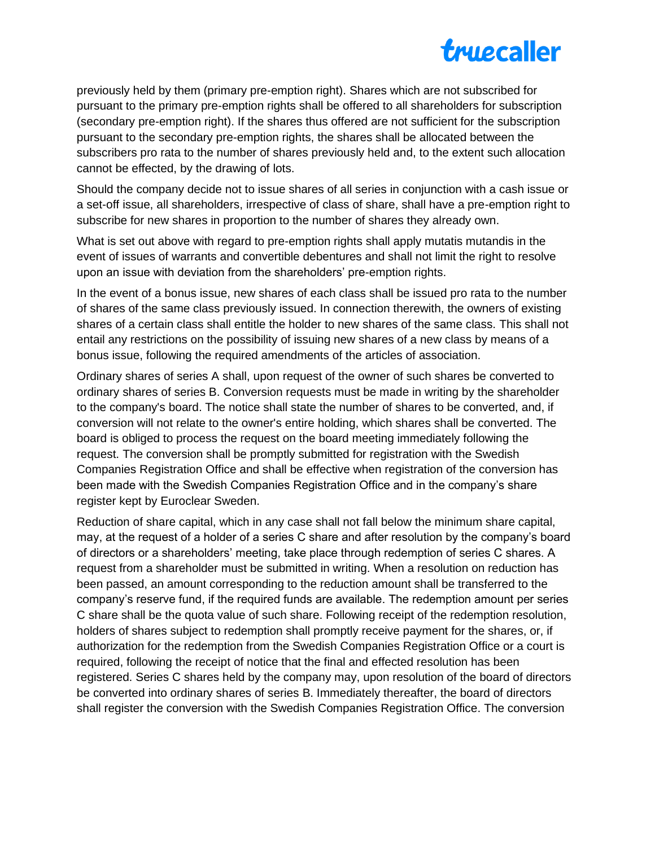

previously held by them (primary pre-emption right). Shares which are not subscribed for pursuant to the primary pre-emption rights shall be offered to all shareholders for subscription (secondary pre-emption right). If the shares thus offered are not sufficient for the subscription pursuant to the secondary pre-emption rights, the shares shall be allocated between the subscribers pro rata to the number of shares previously held and, to the extent such allocation cannot be effected, by the drawing of lots.

Should the company decide not to issue shares of all series in conjunction with a cash issue or a set-off issue, all shareholders, irrespective of class of share, shall have a pre-emption right to subscribe for new shares in proportion to the number of shares they already own.

What is set out above with regard to pre-emption rights shall apply mutatis mutandis in the event of issues of warrants and convertible debentures and shall not limit the right to resolve upon an issue with deviation from the shareholders' pre-emption rights.

In the event of a bonus issue, new shares of each class shall be issued pro rata to the number of shares of the same class previously issued. In connection therewith, the owners of existing shares of a certain class shall entitle the holder to new shares of the same class. This shall not entail any restrictions on the possibility of issuing new shares of a new class by means of a bonus issue, following the required amendments of the articles of association.

Ordinary shares of series A shall, upon request of the owner of such shares be converted to ordinary shares of series B. Conversion requests must be made in writing by the shareholder to the company's board. The notice shall state the number of shares to be converted, and, if conversion will not relate to the owner's entire holding, which shares shall be converted. The board is obliged to process the request on the board meeting immediately following the request. The conversion shall be promptly submitted for registration with the Swedish Companies Registration Office and shall be effective when registration of the conversion has been made with the Swedish Companies Registration Office and in the company's share register kept by Euroclear Sweden.

Reduction of share capital, which in any case shall not fall below the minimum share capital, may, at the request of a holder of a series C share and after resolution by the company's board of directors or a shareholders' meeting, take place through redemption of series C shares. A request from a shareholder must be submitted in writing. When a resolution on reduction has been passed, an amount corresponding to the reduction amount shall be transferred to the company's reserve fund, if the required funds are available. The redemption amount per series C share shall be the quota value of such share. Following receipt of the redemption resolution, holders of shares subject to redemption shall promptly receive payment for the shares, or, if authorization for the redemption from the Swedish Companies Registration Office or a court is required, following the receipt of notice that the final and effected resolution has been registered. Series C shares held by the company may, upon resolution of the board of directors be converted into ordinary shares of series B. Immediately thereafter, the board of directors shall register the conversion with the Swedish Companies Registration Office. The conversion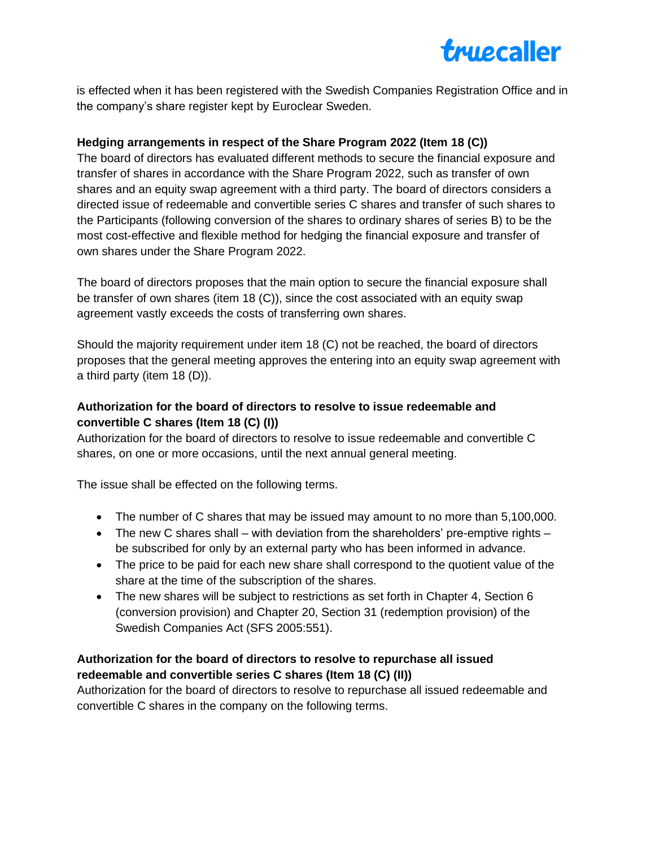

is effected when it has been registered with the Swedish Companies Registration Office and in the company's share register kept by Euroclear Sweden.

## **Hedging arrangements in respect of the Share Program 2022 (Item 18 (C))**

The board of directors has evaluated different methods to secure the financial exposure and transfer of shares in accordance with the Share Program 2022, such as transfer of own shares and an equity swap agreement with a third party. The board of directors considers a directed issue of redeemable and convertible series C shares and transfer of such shares to the Participants (following conversion of the shares to ordinary shares of series B) to be the most cost-effective and flexible method for hedging the financial exposure and transfer of own shares under the Share Program 2022.

The board of directors proposes that the main option to secure the financial exposure shall be transfer of own shares (item 18 (C)), since the cost associated with an equity swap agreement vastly exceeds the costs of transferring own shares.

Should the majority requirement under item 18 (C) not be reached, the board of directors proposes that the general meeting approves the entering into an equity swap agreement with a third party (item 18 (D)).

# **Authorization for the board of directors to resolve to issue redeemable and convertible C shares (Item 18 (C) (I))**

Authorization for the board of directors to resolve to issue redeemable and convertible C shares, on one or more occasions, until the next annual general meeting.

The issue shall be effected on the following terms.

- The number of C shares that may be issued may amount to no more than 5,100,000.
- The new C shares shall with deviation from the shareholders' pre-emptive rights  $$ be subscribed for only by an external party who has been informed in advance.
- The price to be paid for each new share shall correspond to the quotient value of the share at the time of the subscription of the shares.
- The new shares will be subject to restrictions as set forth in Chapter 4, Section 6 (conversion provision) and Chapter 20, Section 31 (redemption provision) of the Swedish Companies Act (SFS 2005:551).

## **Authorization for the board of directors to resolve to repurchase all issued redeemable and convertible series C shares (Item 18 (C) (II))**

Authorization for the board of directors to resolve to repurchase all issued redeemable and convertible C shares in the company on the following terms.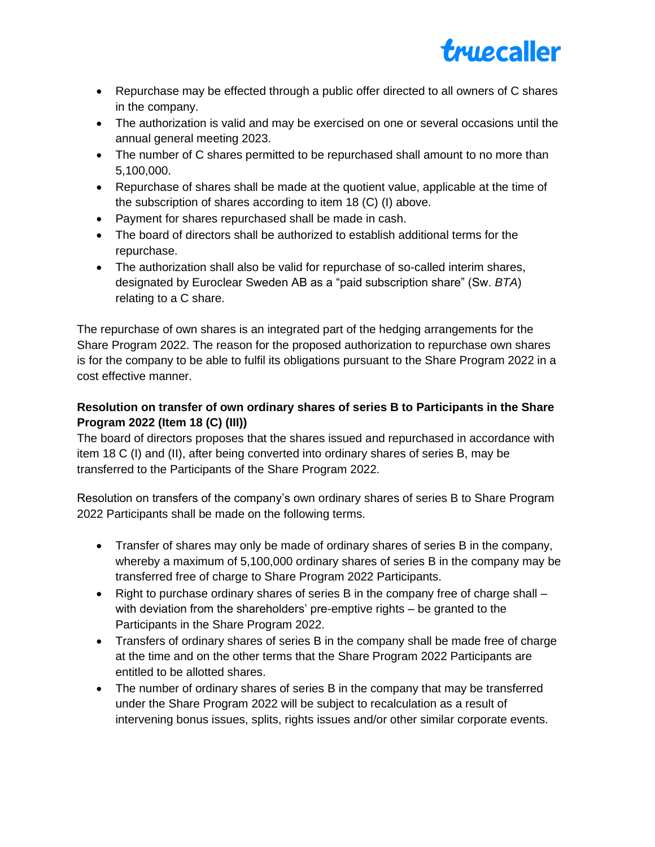

- Repurchase may be effected through a public offer directed to all owners of C shares in the company.
- The authorization is valid and may be exercised on one or several occasions until the annual general meeting 2023.
- The number of C shares permitted to be repurchased shall amount to no more than 5,100,000.
- Repurchase of shares shall be made at the quotient value, applicable at the time of the subscription of shares according to item 18 (C) (I) above.
- Payment for shares repurchased shall be made in cash.
- The board of directors shall be authorized to establish additional terms for the repurchase.
- The authorization shall also be valid for repurchase of so-called interim shares, designated by Euroclear Sweden AB as a "paid subscription share" (Sw. *BTA*) relating to a C share.

The repurchase of own shares is an integrated part of the hedging arrangements for the Share Program 2022. The reason for the proposed authorization to repurchase own shares is for the company to be able to fulfil its obligations pursuant to the Share Program 2022 in a cost effective manner.

# **Resolution on transfer of own ordinary shares of series B to Participants in the Share Program 2022 (Item 18 (C) (III))**

The board of directors proposes that the shares issued and repurchased in accordance with item 18 C (I) and (II), after being converted into ordinary shares of series B, may be transferred to the Participants of the Share Program 2022.

Resolution on transfers of the company's own ordinary shares of series B to Share Program 2022 Participants shall be made on the following terms.

- Transfer of shares may only be made of ordinary shares of series B in the company, whereby a maximum of 5,100,000 ordinary shares of series B in the company may be transferred free of charge to Share Program 2022 Participants.
- Right to purchase ordinary shares of series B in the company free of charge shall with deviation from the shareholders' pre-emptive rights – be granted to the Participants in the Share Program 2022.
- Transfers of ordinary shares of series B in the company shall be made free of charge at the time and on the other terms that the Share Program 2022 Participants are entitled to be allotted shares.
- The number of ordinary shares of series B in the company that may be transferred under the Share Program 2022 will be subject to recalculation as a result of intervening bonus issues, splits, rights issues and/or other similar corporate events.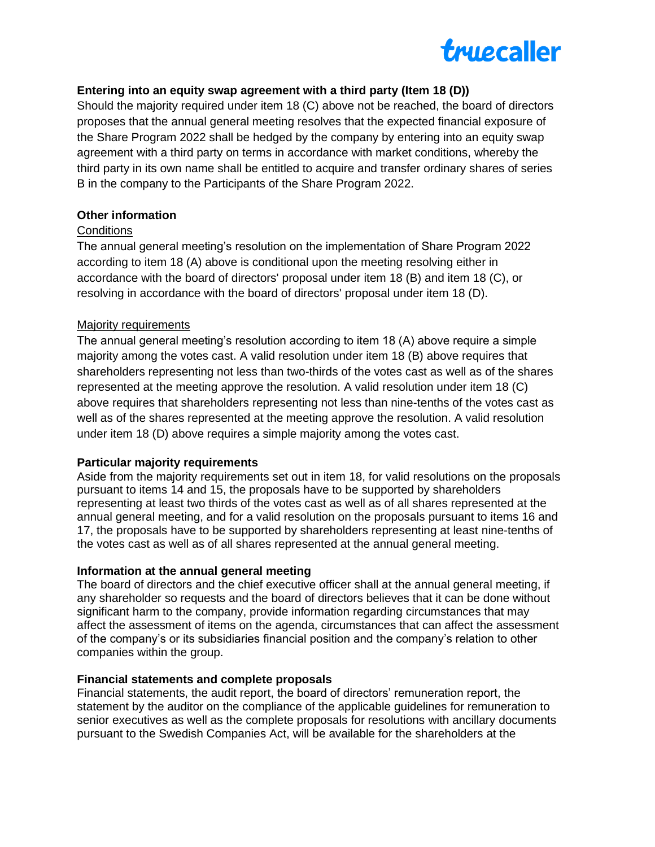

## **Entering into an equity swap agreement with a third party (Item 18 (D))**

Should the majority required under item 18 (C) above not be reached, the board of directors proposes that the annual general meeting resolves that the expected financial exposure of the Share Program 2022 shall be hedged by the company by entering into an equity swap agreement with a third party on terms in accordance with market conditions, whereby the third party in its own name shall be entitled to acquire and transfer ordinary shares of series B in the company to the Participants of the Share Program 2022.

## **Other information**

## **Conditions**

The annual general meeting's resolution on the implementation of Share Program 2022 according to item 18 (A) above is conditional upon the meeting resolving either in accordance with the board of directors' proposal under item 18 (B) and item 18 (C), or resolving in accordance with the board of directors' proposal under item 18 (D).

## Majority requirements

The annual general meeting's resolution according to item 18 (A) above require a simple majority among the votes cast. A valid resolution under item 18 (B) above requires that shareholders representing not less than two-thirds of the votes cast as well as of the shares represented at the meeting approve the resolution. A valid resolution under item 18 (C) above requires that shareholders representing not less than nine-tenths of the votes cast as well as of the shares represented at the meeting approve the resolution. A valid resolution under item 18 (D) above requires a simple majority among the votes cast.

#### **Particular majority requirements**

Aside from the majority requirements set out in item 18, for valid resolutions on the proposals pursuant to items 14 and 15, the proposals have to be supported by shareholders representing at least two thirds of the votes cast as well as of all shares represented at the annual general meeting, and for a valid resolution on the proposals pursuant to items 16 and 17, the proposals have to be supported by shareholders representing at least nine-tenths of the votes cast as well as of all shares represented at the annual general meeting.

## **Information at the annual general meeting**

The board of directors and the chief executive officer shall at the annual general meeting, if any shareholder so requests and the board of directors believes that it can be done without significant harm to the company, provide information regarding circumstances that may affect the assessment of items on the agenda, circumstances that can affect the assessment of the company's or its subsidiaries financial position and the company's relation to other companies within the group.

#### **Financial statements and complete proposals**

Financial statements, the audit report, the board of directors' remuneration report, the statement by the auditor on the compliance of the applicable guidelines for remuneration to senior executives as well as the complete proposals for resolutions with ancillary documents pursuant to the Swedish Companies Act, will be available for the shareholders at the